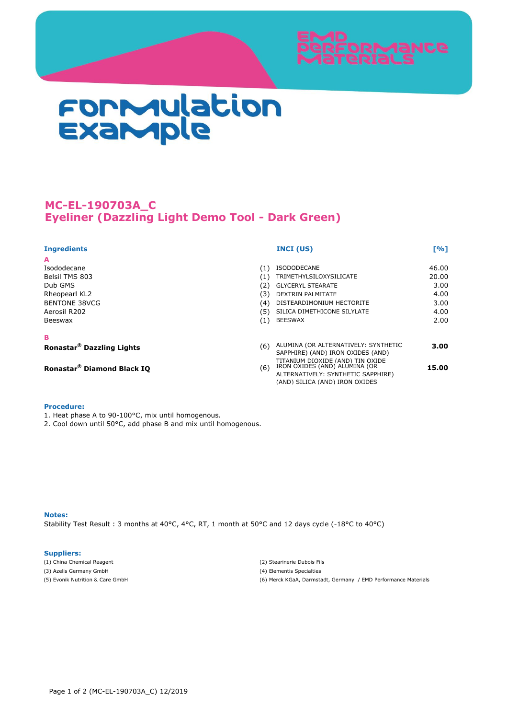

# Formulation<br>Example

# **MC-EL-190703A\_C Eyeliner (Dazzling Light Demo Tool - Dark Green)**

# **Ingredients INCI (US) [%]**

**A**

Isododecane (1) ISODODECANE 46.00 Belsil TMS 803 (1) TRIMETHYLSILOXYSILICATE 20.00 Dub GMS (2) GLYCERYL STEARATE 3.00 Rheopearl KL2 (3) DEXTRIN PALMITATE 4.00 Aerosil R202 (5) SILICA DIMETHICONE SILYLATE 4.00 Beeswax and the control of the control of the control of the BEESWAX and the control of the control of the control of the control of the control of the control of the control of the control of the control of the control of

## **B**

**Ronastar®**

TITANIUM DIOXIDE (AND) TIN OXIDE  **Diamond Black IQ** (6) IRON OXIDES (AND) ALUMINA (OR **Ronastar®**

### **Procedure:**

- 1. Heat phase A to 90-100°C, mix until homogenous.
- 2. Cool down until 50°C, add phase B and mix until homogenous.

### **Notes:**

Stability Test Result : 3 months at 40°C, 4°C, RT, 1 month at 50°C and 12 days cycle (-18°C to 40°C)

### **Suppliers:**

- (1) China Chemical Reagent (2) Stearinerie Dubois Fils
- (3) Azelis Germany GmbH (4) Elementis Specialties
- 
- 
- 
- (5) Evonik Nutrition & Care GmbH (6) Merck KGaA, Darmstadt, Germany / EMD Performance Materials

(4) DISTEARDIMONIUM HECTORITE 3.00

**3.00**

**15.00**

**(6) ALUMINA (OR ALTERNATIVELY: SYNTHETIC** SAPPHIRE) (AND) IRON OXIDES (AND)

> ALTERNATIVELY: SYNTHETIC SAPPHIRE) (AND) SILICA (AND) IRON OXIDES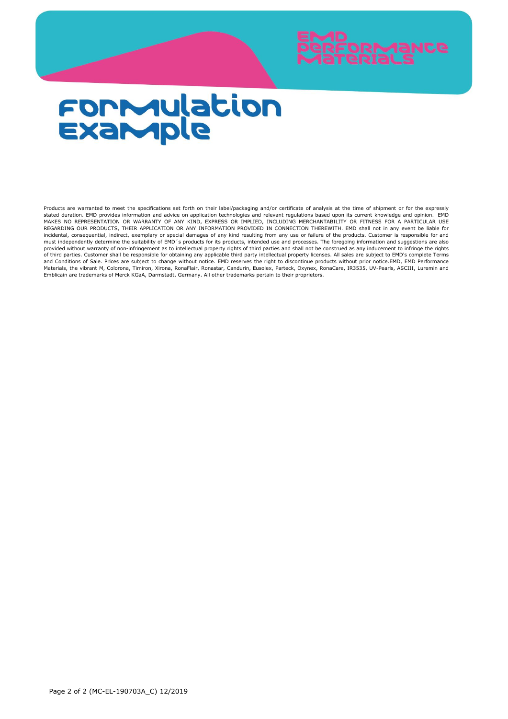

# **FORMulation**<br>Example

Products are warranted to meet the specifications set forth on their label/packaging and/or certificate of analysis at the time of shipment or for the expressly stated duration. EMD provides information and advice on application technologies and relevant regulations based upon its current knowledge and opinion. EMD<br>MAKES NO REPRESENTATION OR WARRANTY OF ANY KIND, EXPRESS OR IMPLI incidental, consequential, indirect, exemplary or special damages of any kind resulting from any use or failure of the products. Customer is responsible for and must independently determine the suitability of EMD´s products for its products, intended use and processes. The foregoing information and suggestions are also provided without warranty of non-infringement as to intellectual property rights of third parties and shall not be construed as any inducement to infringe the rights of third parties. Customer shall be responsible for obtaining any applicable third party intellectual property licenses. All sales are subject to EMD's complete Terms and Conditions of Sale. Prices are subject to change without notice. EMD reserves the right to discontinue products without prior notice.EMD, EMD Performance Materials, the vibrant M, Colorona, Timiron, Xirona, RonaFlair, Ronastar, Candurin, Eusolex, Parteck, Oxynex, RonaCare, IR3535, UV-Pearls, ASCIII, Luremin and Emblicain are trademarks of Merck KGaA, Darmstadt, Germany. All other trademarks pertain to their proprietors.